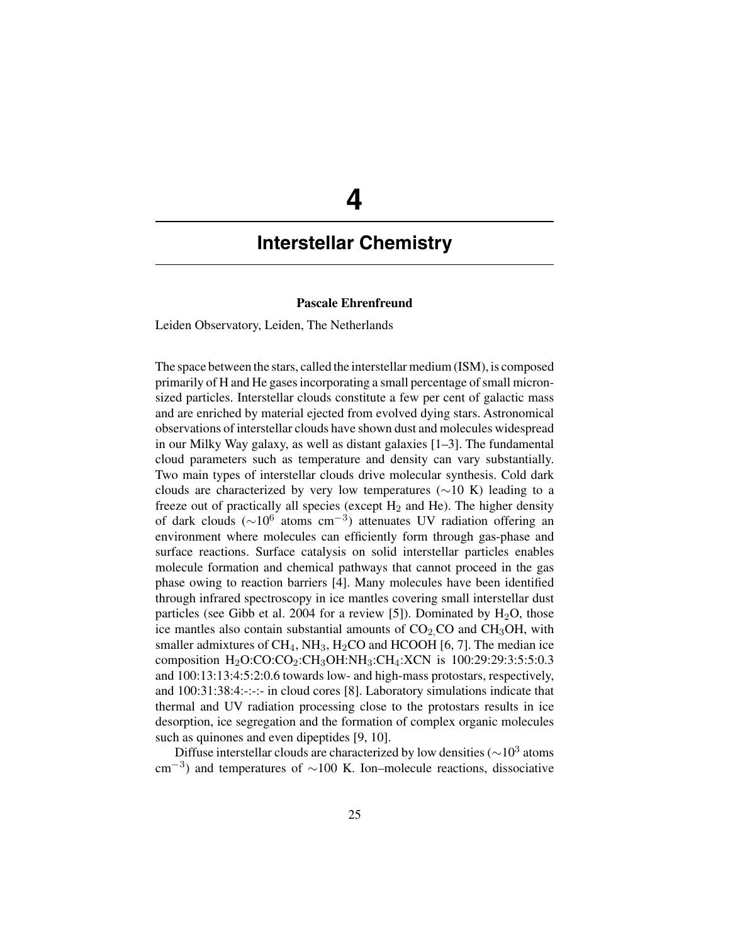# **4**

## **Interstellar Chemistry**

### **Pascale Ehrenfreund**

Leiden Observatory, Leiden, The Netherlands

The space between the stars, called the interstellar medium (ISM), is composed primarily of H and He gases incorporating a small percentage of small micronsized particles. Interstellar clouds constitute a few per cent of galactic mass and are enriched by material ejected from evolved dying stars. Astronomical observations of interstellar clouds have shown dust and molecules widespread in our Milky Way galaxy, as well as distant galaxies [1–3]. The fundamental cloud parameters such as temperature and density can vary substantially. Two main types of interstellar clouds drive molecular synthesis. Cold dark clouds are characterized by very low temperatures ( $\sim$ 10 K) leading to a freeze out of practically all species (except  $H_2$  and  $He$ ). The higher density of dark clouds ( $\sim$ 10<sup>6</sup> atoms cm<sup>-3</sup>) attenuates UV radiation offering an environment where molecules can efficiently form through gas-phase and surface reactions. Surface catalysis on solid interstellar particles enables molecule formation and chemical pathways that cannot proceed in the gas phase owing to reaction barriers [4]. Many molecules have been identified through infrared spectroscopy in ice mantles covering small interstellar dust particles (see Gibb et al. 2004 for a review [5]). Dominated by  $H_2O$ , those ice mantles also contain substantial amounts of  $CO<sub>2</sub>CO$  and  $CH<sub>3</sub>OH$ , with smaller admixtures of  $CH_4$ ,  $NH_3$ ,  $H_2CO$  and HCOOH [6, 7]. The median ice composition  $H_2O:CO:CO_2:CH_3OH:NH_3:CH_4:XCN$  is 100:29:29:3:5:5:0.3 and 100:13:13:4:5:2:0.6 towards low- and high-mass protostars, respectively, and 100:31:38:4:-:-:- in cloud cores [8]. Laboratory simulations indicate that thermal and UV radiation processing close to the protostars results in ice desorption, ice segregation and the formation of complex organic molecules such as quinones and even dipeptides [9, 10].

Diffuse interstellar clouds are characterized by low densities ( $\sim$ 10<sup>3</sup> atoms cm<sup>-3</sup>) and temperatures of  $\sim$ 100 K. Ion–molecule reactions, dissociative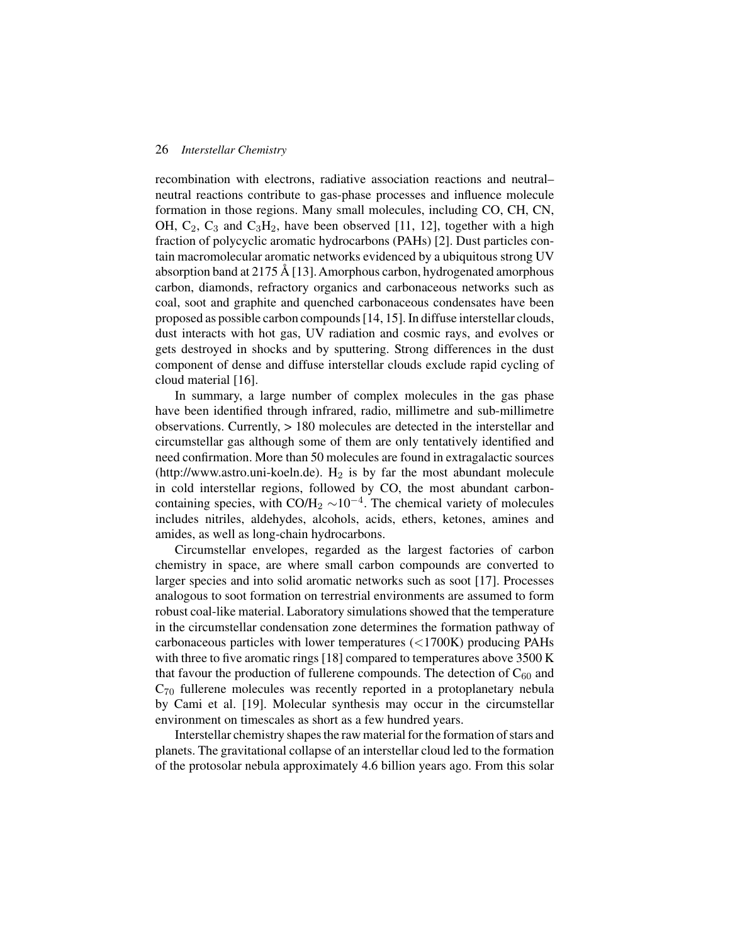#### 26 *Interstellar Chemistry*

recombination with electrons, radiative association reactions and neutral– neutral reactions contribute to gas-phase processes and influence molecule formation in those regions. Many small molecules, including CO, CH, CN, OH,  $C_2$ ,  $C_3$  and  $C_3H_2$ , have been observed [11, 12], together with a high fraction of polycyclic aromatic hydrocarbons (PAHs) [2]. Dust particles contain macromolecular aromatic networks evidenced by a ubiquitous strong UV absorption band at 2175 Å [13].Amorphous carbon, hydrogenated amorphous carbon, diamonds, refractory organics and carbonaceous networks such as coal, soot and graphite and quenched carbonaceous condensates have been proposed as possible carbon compounds [14, 15]. In diffuse interstellar clouds, dust interacts with hot gas, UV radiation and cosmic rays, and evolves or gets destroyed in shocks and by sputtering. Strong differences in the dust component of dense and diffuse interstellar clouds exclude rapid cycling of cloud material [16].

In summary, a large number of complex molecules in the gas phase have been identified through infrared, radio, millimetre and sub-millimetre observations. Currently, > 180 molecules are detected in the interstellar and circumstellar gas although some of them are only tentatively identified and need confirmation. More than 50 molecules are found in extragalactic sources (http://www.astro.uni-koeln.de).  $H_2$  is by far the most abundant molecule in cold interstellar regions, followed by CO, the most abundant carboncontaining species, with CO/H<sub>2</sub>  $\sim$ 10<sup>-4</sup>. The chemical variety of molecules includes nitriles, aldehydes, alcohols, acids, ethers, ketones, amines and amides, as well as long-chain hydrocarbons.

Circumstellar envelopes, regarded as the largest factories of carbon chemistry in space, are where small carbon compounds are converted to larger species and into solid aromatic networks such as soot [17]. Processes analogous to soot formation on terrestrial environments are assumed to form robust coal-like material. Laboratory simulations showed that the temperature in the circumstellar condensation zone determines the formation pathway of carbonaceous particles with lower temperatures (<1700K) producing PAHs with three to five aromatic rings [18] compared to temperatures above 3500 K that favour the production of fullerene compounds. The detection of  $C_{60}$  and  $C_{70}$  fullerene molecules was recently reported in a protoplanetary nebula by Cami et al. [19]. Molecular synthesis may occur in the circumstellar environment on timescales as short as a few hundred years.

Interstellar chemistry shapes the raw material for the formation of stars and planets. The gravitational collapse of an interstellar cloud led to the formation of the protosolar nebula approximately 4.6 billion years ago. From this solar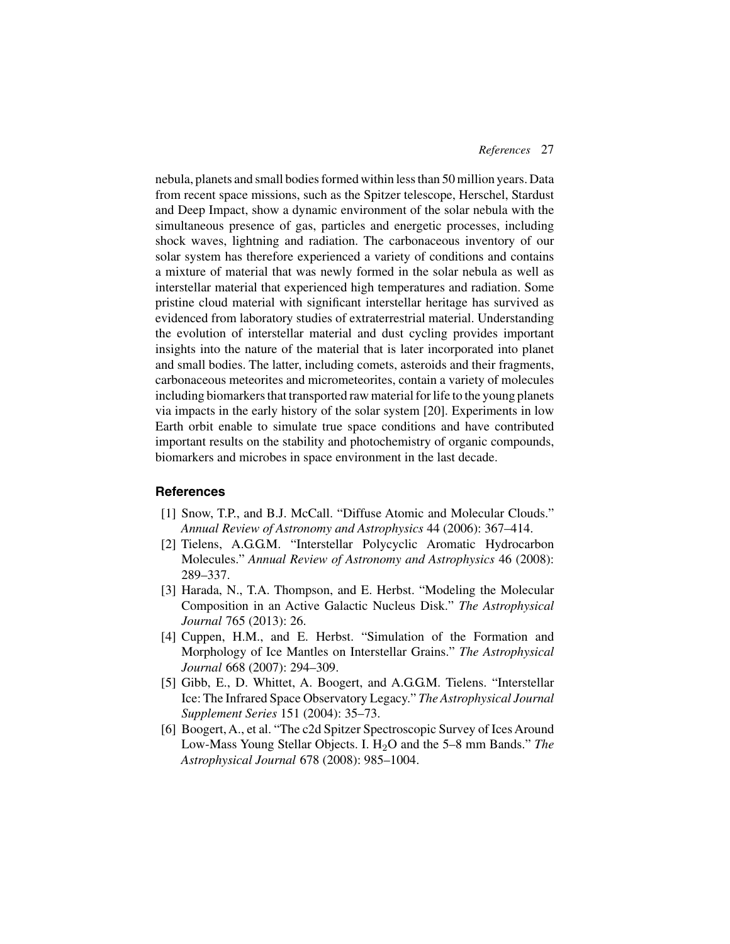nebula, planets and small bodies formed within less than 50 million years. Data from recent space missions, such as the Spitzer telescope, Herschel, Stardust and Deep Impact, show a dynamic environment of the solar nebula with the simultaneous presence of gas, particles and energetic processes, including shock waves, lightning and radiation. The carbonaceous inventory of our solar system has therefore experienced a variety of conditions and contains a mixture of material that was newly formed in the solar nebula as well as interstellar material that experienced high temperatures and radiation. Some pristine cloud material with significant interstellar heritage has survived as evidenced from laboratory studies of extraterrestrial material. Understanding the evolution of interstellar material and dust cycling provides important insights into the nature of the material that is later incorporated into planet and small bodies. The latter, including comets, asteroids and their fragments, carbonaceous meteorites and micrometeorites, contain a variety of molecules including biomarkers that transported raw material for life to the young planets via impacts in the early history of the solar system [20]. Experiments in low Earth orbit enable to simulate true space conditions and have contributed important results on the stability and photochemistry of organic compounds, biomarkers and microbes in space environment in the last decade.

#### **References**

- [1] Snow, T.P., and B.J. McCall. "Diffuse Atomic and Molecular Clouds." *Annual Review of Astronomy and Astrophysics* 44 (2006): 367–414.
- [2] Tielens, A.G.G.M. "Interstellar Polycyclic Aromatic Hydrocarbon Molecules." *Annual Review of Astronomy and Astrophysics* 46 (2008): 289–337.
- [3] Harada, N., T.A. Thompson, and E. Herbst. "Modeling the Molecular Composition in an Active Galactic Nucleus Disk." *The Astrophysical Journal* 765 (2013): 26.
- [4] Cuppen, H.M., and E. Herbst. "Simulation of the Formation and Morphology of Ice Mantles on Interstellar Grains." *The Astrophysical Journal* 668 (2007): 294–309.
- [5] Gibb, E., D. Whittet, A. Boogert, and A.G.G.M. Tielens. "Interstellar Ice: The Infrared Space Observatory Legacy." *The Astrophysical Journal Supplement Series* 151 (2004): 35–73.
- [6] Boogert, A., et al. "The c2d Spitzer Spectroscopic Survey of Ices Around Low-Mass Young Stellar Objects. I. H<sub>2</sub>O and the 5–8 mm Bands." *The Astrophysical Journal* 678 (2008): 985–1004.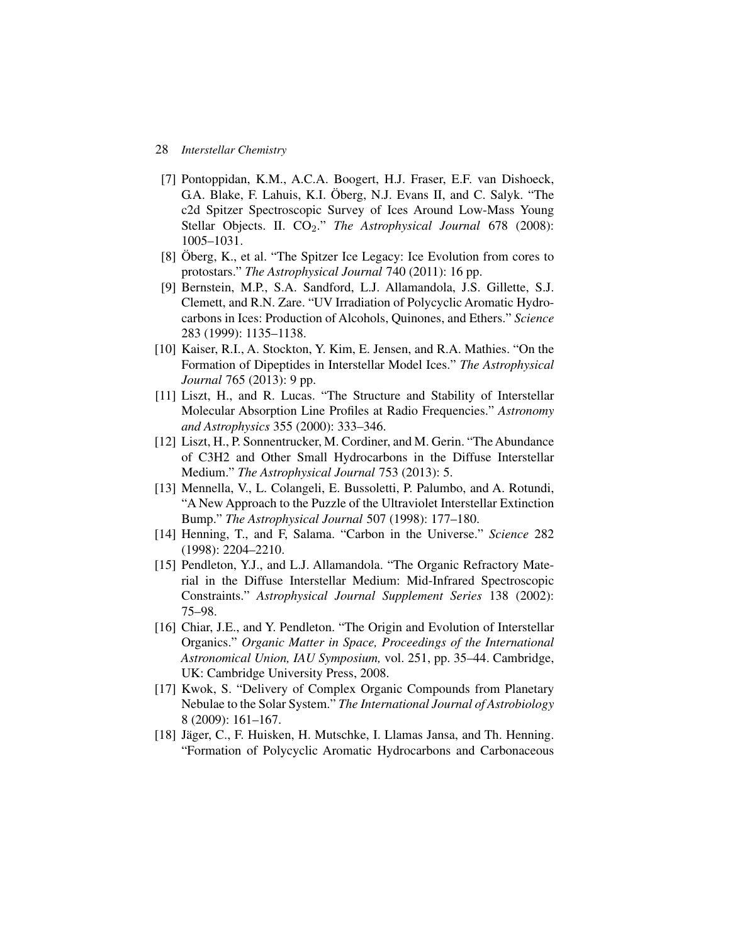#### 28 *Interstellar Chemistry*

- [7] Pontoppidan, K.M., A.C.A. Boogert, H.J. Fraser, E.F. van Dishoeck, G.A. Blake, F. Lahuis, K.I. Öberg, N.J. Evans II, and C. Salyk. "The c2d Spitzer Spectroscopic Survey of Ices Around Low-Mass Young Stellar Objects. II. CO<sub>2</sub>." *The Astrophysical Journal* 678 (2008): 1005–1031.
- [8] Öberg, K., et al. "The Spitzer Ice Legacy: Ice Evolution from cores to protostars." *The Astrophysical Journal* 740 (2011): 16 pp.
- [9] Bernstein, M.P., S.A. Sandford, L.J. Allamandola, J.S. Gillette, S.J. Clemett, and R.N. Zare. "UV Irradiation of Polycyclic Aromatic Hydrocarbons in Ices: Production of Alcohols, Quinones, and Ethers." *Science* 283 (1999): 1135–1138.
- [10] Kaiser, R.I., A. Stockton, Y. Kim, E. Jensen, and R.A. Mathies. "On the Formation of Dipeptides in Interstellar Model Ices." *The Astrophysical Journal* 765 (2013): 9 pp.
- [11] Liszt, H., and R. Lucas. "The Structure and Stability of Interstellar Molecular Absorption Line Profiles at Radio Frequencies." *Astronomy and Astrophysics* 355 (2000): 333–346.
- [12] Liszt, H., P. Sonnentrucker, M. Cordiner, and M. Gerin. "The Abundance" of C3H2 and Other Small Hydrocarbons in the Diffuse Interstellar Medium." *The Astrophysical Journal* 753 (2013): 5.
- [13] Mennella, V., L. Colangeli, E. Bussoletti, P. Palumbo, and A. Rotundi, "A New Approach to the Puzzle of the Ultraviolet Interstellar Extinction Bump." *The Astrophysical Journal* 507 (1998): 177–180.
- [14] Henning, T., and F, Salama. "Carbon in the Universe." *Science* 282 (1998): 2204–2210.
- [15] Pendleton, Y.J., and L.J. Allamandola. "The Organic Refractory Material in the Diffuse Interstellar Medium: Mid-Infrared Spectroscopic Constraints." *Astrophysical Journal Supplement Series* 138 (2002): 75–98.
- [16] Chiar, J.E., and Y. Pendleton. "The Origin and Evolution of Interstellar Organics." *Organic Matter in Space, Proceedings of the International Astronomical Union, IAU Symposium,* vol. 251, pp. 35–44. Cambridge, UK: Cambridge University Press, 2008.
- [17] Kwok, S. "Delivery of Complex Organic Compounds from Planetary Nebulae to the Solar System." *The International Journal of Astrobiology* 8 (2009): 161–167.
- [18] Jäger, C., F. Huisken, H. Mutschke, I. Llamas Jansa, and Th. Henning. "Formation of Polycyclic Aromatic Hydrocarbons and Carbonaceous